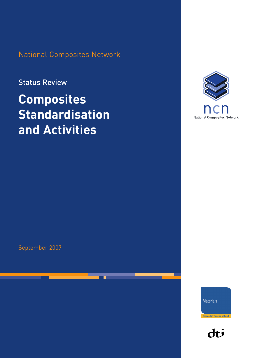National Composites Network

### Status Review

# **Composites Standardisation and Activities**



September 2007

Materials

**Knowledge Transfer Network** 

dti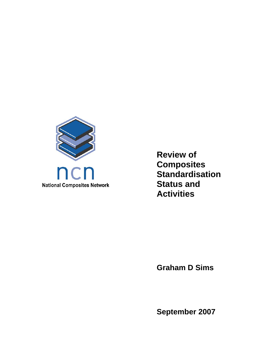

**Review of Composites Standardisation Status and Activities** 

**Graham D Sims** 

**September 2007**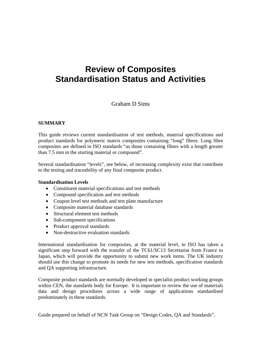## **Review of Composites Standardisation Status and Activities**

### Graham D Sims

#### **SUMMARY**

This guide reviews current standardisation of test methods, material specifications and product standards for polymeric matrix composites containing "long" fibres. Long fibre composites are defined in ISO standards "as those containing fibres with a length greater than 7.5 mm in the starting material or compound".

Several standardisation "levels", see below, of increasing complexity exist that contribute to the testing and traceability of any final composite product.

#### **Standardisation Levels**

- Constituent material specifications and test methods
- Compound specification and test methods
- Coupon level test methods and test plate manufacture
- Composite material database standards
- Structural element test methods
- Sub-component specifications
- Product approval standards
- Non-destructive evaluation standards

International standardisation for composites, at the material level, in ISO has taken a significant step forward with the transfer of the TC61/SC13 Secretariat from France to Japan, which will provide the opportunity to submit new work items. The UK industry should use this change to promote its needs for new test methods, specification standards and QA supporting infrastructure.

Composite product standards are normally developed in specialist product working groups within CEN, the standards body for Europe. It is important to review the use of materials data and design procedures across a wide range of applications standardised predominately in these standards.

Guide prepared on behalf of NCN Task Group on "Design Codes, QA and Standards".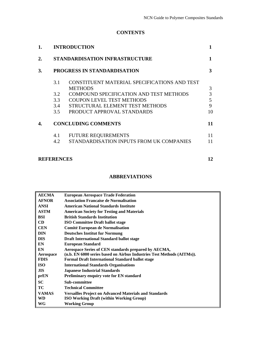#### **CONTENTS**

|     |                                                                | 3                                                                                                                                                                          |
|-----|----------------------------------------------------------------|----------------------------------------------------------------------------------------------------------------------------------------------------------------------------|
| 3.1 | CONSTITUENT MATERIAL SPECIFICATIONS AND TEST<br><b>METHODS</b> | 3                                                                                                                                                                          |
| 3.2 | <b>COMPOUND SPECIFICATION AND TEST METHODS</b>                 | 3                                                                                                                                                                          |
|     | <b>COUPON LEVEL TEST METHODS</b>                               | 5                                                                                                                                                                          |
|     | STRUCTURAL ELEMENT TEST METHODS                                | 9                                                                                                                                                                          |
|     | PRODUCT APPROVAL STANDARDS                                     | 10                                                                                                                                                                         |
|     |                                                                | 11                                                                                                                                                                         |
| 4.1 | <b>FUTURE REQUIREMENTS</b>                                     | 11                                                                                                                                                                         |
|     | STANDARDISATION INPUTS FROM UK COMPANIES                       | 11                                                                                                                                                                         |
|     |                                                                | 12                                                                                                                                                                         |
|     |                                                                | <b>INTRODUCTION</b><br><b>STANDARDISATION INFRASTRUCTURE</b><br>PROGRESS IN STANDARDISATION<br>3.3<br>3.4<br>3.5<br><b>CONCLUDING COMMENTS</b><br>4.2<br><b>REFERENCES</b> |

#### **ABBREVIATIONS**

| <b>AECMA</b> | <b>European Aerospace Trade Federation</b>                             |
|--------------|------------------------------------------------------------------------|
| <b>AFNOR</b> | <b>Association Francaise de Normalisation</b>                          |
| <b>ANSI</b>  | <b>American National Standards Institute</b>                           |
| <b>ASTM</b>  | <b>American Society for Testing and Materials</b>                      |
| <b>BSI</b>   | <b>British Standards Institution</b>                                   |
| <b>CD</b>    | <b>ISO Committee Draft ballot stage</b>                                |
| <b>CEN</b>   | Comité European de Normalisation                                       |
| <b>DIN</b>   | <b>Deutsches Institut fur Normung</b>                                  |
| <b>DIS</b>   | <b>Draft International Standard ballot stage</b>                       |
| EN           | <b>European Standard</b>                                               |
| EN           | Aerospace Series of CEN standards prepared by AECMA,                   |
| Aerospace    | (n.b. EN 6000 series based on Airbus Industries Test Methods (AITMs)). |
| <b>FDIS</b>  | <b>Formal Draft International Standard ballot stage</b>                |
| <b>ISO</b>   | <b>International Standards Organisations</b>                           |
| <b>JIS</b>   | <b>Japanese Industrial Standards</b>                                   |
| prEN         | <b>Preliminary enquiry vote for EN standard</b>                        |
| <b>SC</b>    | Sub-committee                                                          |
| TC           | <b>Technical Committee</b>                                             |
| <b>VAMAS</b> | <b>Versailles Project on Advanced Materials and Standards</b>          |
| WD           | <b>ISO Working Draft (within Working Group)</b>                        |
| WG           | Working Group                                                          |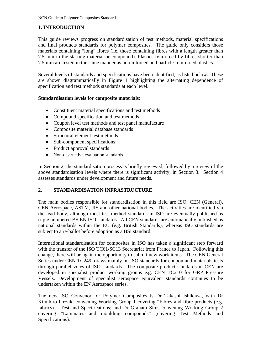#### **1. INTRODUCTION**

This guide reviews progress on standardisation of test methods, material specifications and final products standards for polymer composites. The guide only considers those materials containing "long" fibres (i.e. those containing fibres with a length greater than 7.5 mm in the starting material or compound). Plastics reinforced by fibres shorter than 7.5 mm are tested in the same manner as unreinforced and particle-reinforced plastics.

Several levels of standards and specifications have been identified, as listed below. These are shown diagrammatically in Figure 1 highlighting the alternating dependence of specification and test methods standards at each level.

#### **Standardisation levels for composite materials:**

- Constituent material specifications and test methods
- Compound specification and test methods
- Coupon level test methods and test panel manufacture
- Composite material database standards
- Structural element test methods
- Sub-component specifications
- Product approval standards
- Non-destructive evaluation standards.

In Section 2, the standardisation process is briefly reviewed; followed by a review of the above standardisation levels where there is significant activity, in Section 3. Section 4 assesses standards under development and future needs.

#### **2. STANDARDISATION INFRASTRUCTURE**

The main bodies responsible for standardisation in this field are ISO, CEN (General), CEN Aerospace, ASTM, JIS and other national bodies. The activities are identified via the lead body, although most test method standards in ISO are eventually published as triple numbered BS EN ISO standards. All CEN standards are automatically published as national standards within the EU (e.g. British Standards), whereas ISO standards are subject to a re-ballot before adoption as a BSI standard.

International standardisation for composites in ISO has taken a significant step forward with the transfer of the ISO TC61/SC13 Secretariat from France to Japan. Following this change, there will be again the opportunity to submit new work items. The CEN General Series under CEN TC249, draws mainly on ISO standards for coupon and materials tests through parallel votes of ISO standards. The composite product standards in CEN are developed in specialist product working groups e.g. CEN TC210 for GRP Pressure Vessels. Development of specialist aerospace equivalent standards continues to be undertaken within the EN Aerospace series.

The new ISO Convenor for Polymer Composites is Dr Takashi Ishikawa, with Dr Kimihiro Ikezaki convening Working Group 1 covering "Fibres and fibre products (e.g. fabrics) – Test and Specifications; and Dr Graham Sims convening Working Group 2 covering "Laminates and moulding compounds" (covering Test Methods and Specifications).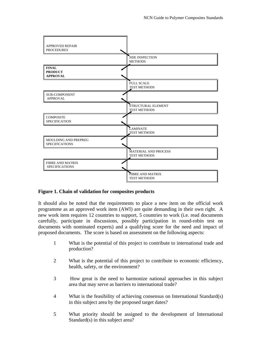

#### **Figure 1. Chain of validation for composites products**

It should also be noted that the requirements to place a new item on the official work programme as an approved work item (AWI) are quite demanding in their own right. A new work item requires 12 countries to support, 5 countries to work (i.e. read documents carefully, participate in discussions, possibly participation in round-robin test on documents with nominated experts) and a qualifying score for the need and impact of proposed documents. The score is based on assessment on the following aspects:

- 1 What is the potential of this project to contribute to international trade and production?
- 2 What is the potential of this project to contribute to economic efficiency, health, safety, or the environment?
- 3 How great is the need to harmonize national approaches in this subject area that may serve as barriers to international trade?
- 4 What is the feasibility of achieving consensus on International Standard(s) in this subject area by the proposed target dates?
- 5 What priority should be assigned to the development of International Standard(s) in this subject area?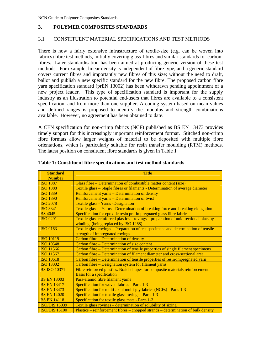#### **3. POLYMER COMPOSITES STANDARDS**

#### 3.1 CONSTITUENT MATERIAL SPECIFICATIONS AND TEST METHODS

There is now a fairly extensive infrastructure of textile-size (e.g. can be woven into fabrics) fibre test methods, initially covering glass-fibres and similar standards for carbonfibres. Later standardisation has been aimed at producing generic version of these test methods. For example, linear density is independent of fibre type, and a generic standard covers current fibres and importantly new fibres of this size; without the need to draft, ballot and publish a new specific standard for the new fibre. The proposed carbon fibre yarn specification standard (prEN 13002) has been withdrawn pending appointment of a new project leader. This type of specification standard is important for the supply industry as an illustration to potential end-users that fibres are available to a consistent specification, and from more than one supplier. A coding system based on mean values and defined ranges is proposed to identify the modulus and strength combinations available. However, no agreement has been obtained to date.

A CEN specification for non-crimp fabrics (NCF) published as BS EN 13473 provides timely support for this increasingly important reinforcement format. Stitched non-crimp fibre formats allow larger weights of material to be deposited with multiple fibre orientations, which is particularly suitable for resin transfer moulding (RTM) methods. The latest position on constituent fibre standards is given in Table 1

| <b>Standard</b>      | <b>Title</b>                                                                         |  |  |
|----------------------|--------------------------------------------------------------------------------------|--|--|
| <b>Number</b>        |                                                                                      |  |  |
| <b>ISO 1887</b>      | Glass fibre – Determination of combustible matter content (size)                     |  |  |
| <b>ISO 1888</b>      | Textile glass – Staple fibres or filaments - Determination of average diameter       |  |  |
| <b>ISO 1889</b>      | Reinforcement yarns – Determination of density                                       |  |  |
| <b>ISO 1890</b>      | Reinforcement yarns - Determination of twist                                         |  |  |
| <b>ISO 2078</b>      | <b>Textile glass - Yarns - Designation</b>                                           |  |  |
| <b>ISO 3341</b>      | Textile glass – Yarns - Determination of breaking force and breaking elongation      |  |  |
| <b>BS</b> 4045       | Specification for epoxide resin pre-impregnated glass fibre fabrics                  |  |  |
| <b>ISO 9291</b>      | Textile glass reinforced plastics – rovings – preparation of unidirectional plats by |  |  |
|                      | winding. (being replaced by ISO 1268)                                                |  |  |
| <b>ISO 9163</b>      | Textile glass rovings – Preparation of test specimens and determination of tensile   |  |  |
|                      | strength of impregnated rovings                                                      |  |  |
| <b>ISO 10119</b>     | Carbon fibre – Determination of density                                              |  |  |
| <b>ISO 10548</b>     | Carbon fibre – Determination of size content                                         |  |  |
| <b>ISO 11566</b>     | Carbon fibre – Determination of tensile properties of single filament specimens      |  |  |
| ISO 11567            | Carbon fibre – Determination of filament diameter and cross-sectional area           |  |  |
| <b>ISO 10618</b>     | Carbon fibre - Determination of tensile properties of resin-impregnated yarn         |  |  |
| <b>ISO 13002</b>     | Carbon fibre – Designation system for filament yarns                                 |  |  |
| <b>BS ISO 10371</b>  | Fibre reinforced plastics. Braided tapes for composite materials reinforcement.      |  |  |
|                      | <b>Basis for a specification</b>                                                     |  |  |
| <b>BS EN 13003</b>   | Para-aramid fibre filament yarns                                                     |  |  |
| <b>BS EN 13417</b>   | Specification for woven fabrics - Parts 1-3                                          |  |  |
| <b>BS EN 13473</b>   | Specification for multi-axial multi-ply fabrics (NCFs) - Parts 1-3                   |  |  |
| <b>BS EN 14020</b>   | Specification for textile glass rovings - Parts 1-3                                  |  |  |
| <b>BS EN 14118</b>   | Specification for textile glass mats - Parts 1-3                                     |  |  |
| <b>ISO/DIS 15039</b> | Textile glass rovings – determination of solubility of sizing                        |  |  |
| <b>ISO/DIS 15100</b> | Plastics – reinforcement fibres – chopped strands – determination of bulk density    |  |  |

#### **Table 1: Constituent fibre specifications and test method standards**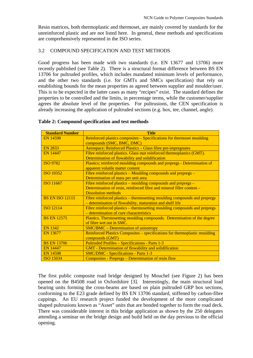Resin matrices, both thermoplastic and thermoset, are mainly covered by standards for the unreinforced plastic and are not listed here. In general, these methods and specifications are comprehensively represented in the ISO series.

#### 3.2 COMPOUND SPECIFICATION AND TEST METHODS

Good progress has been made with two standards (i.e. EN 13677 and 13706) more recently published (see Table 2). There is a structural format difference between BS EN 13706 for pultruded profiles, which includes mandated minimum levels of performance, and the other two standards (i.e. for GMTs and SMCs specification) that rely on establishing bounds for the mean properties as agreed between supplier and moulder/user. This is to be expected in the latter cases as many "recipes" exist. The standard defines the properties to be controlled and the limits, in percentage terms, while the customer/supplier agrees the absolute level of the properties. For pultrusions, the CEN specification is already increasing the application of pultruded sections (e.g. box, tee, channel, angle).

| <b>Standard Number</b> | <b>Title</b>                                                               |
|------------------------|----------------------------------------------------------------------------|
| <b>EN 14598</b>        | Reinforced plastics composites – Specifications for thermoset moulding     |
|                        | compounds (SMC, BMC, DMC)                                                  |
| EN 2833                | Aerospace: Reinforced Plastics - Glass fibre pre-impregnates               |
| <b>EN 14447</b>        | Fibre reinforced plastics. Glass mat reinforced thermoplastics (GMT).      |
|                        | Determination of flowability and solidification                            |
| <b>ISO 9782</b>        | Plastics; reinforced moulding compounds and prepregs - Determination of    |
|                        | apparent volatile matter content                                           |
| <b>ISO 10352</b>       | Fibre reinforced plastics – Moulding compounds and prepregs –              |
|                        | Determination of mass per unit area                                        |
| <b>ISO 11667</b>       | Fibre reinforced plastics – moulding compounds and prepregs –              |
|                        | Determination of resin, reinforced fibre and mineral filler content -      |
|                        | <b>Dissolution methods</b>                                                 |
| <b>BS EN ISO 12115</b> | Fibre reinforced plastics – thermosetting moulding compounds and prepregs  |
|                        | - determination of flowability, maturation and shelf life                  |
| <b>ISO 12114</b>       | Fibre reinforced plastics – thermosetting moulding compounds and prepregs  |
|                        | - determination of cure characteristics                                    |
| <b>BS EN 12575</b>     | Plastics. Thermosetting moulding compounds. Determination of the degree    |
|                        | of fibre wet out in SMC.                                                   |
| <b>EN 1342</b>         | <b>SMC/BMC – Determination of anisotropy</b>                               |
| <b>EN 13677</b>        | Reinforced Plastics Composites – specifications for thermoplastic moulding |
|                        | compounds (GMT)                                                            |
| <b>BS EN 13706</b>     | Pultruded Profiles - Specifications - Parts 1-3                            |
| <b>EN 14447</b>        | <b>GMT</b> - Determination of flowability and solidification               |
| <b>EN 14598</b>        | <b>SMC/DMC - Specifications - Parts 1-3</b>                                |
| <b>ISO 15034</b>       | Composites - Prepregs – Determination of resin flow                        |

#### **Table 2: Compound specification and test methods**

The first public composite road bridge designed by Mouchel (see Figure 2) has been opened on the B4508 road in Oxfordshire [3]. Interestingly, the main structural load bearing units forming the cross-beams are based on plain pultruded GRP box sections, conforming to the E23 grade defined by BS EN 13706 standard, stiffened by carbon-fibre cappings. An EU research project funded the development of the more complicated shaped pultrusions known as "Asset" units that are bonded together to form the road deck. There was considerable interest in this bridge application as shown by the 250 delegates attending a seminar on the bridge design and build held on the day previous to the official opening.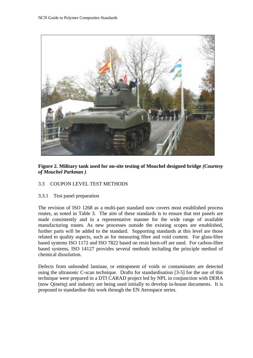

**Figure 2. Military tank used for on-site testing of Mouchel designed bridge** *(Courtesy of Mouchel Parkman )*

#### 3.3 COUPON LEVEL TEST METHODS

3.3.1 Test panel preparation

The revision of ISO 1268 as a multi-part standard now covers most established process routes, as noted in Table 3. The aim of these standards is to ensure that test panels are made consistently and in a representative manner for the wide range of available manufacturing routes. As new processes outside the existing scopes are established, further parts will be added to the standard. Supporting standards at this level are those related to quality aspects, such as for measuring fibre and void content. For glass-fibre based systems ISO 1172 and ISO 7822 based on resin burn-off are used. For carbon-fibre based systems, ISO 14127 provides several methods including the principle method of chemical dissolution.

Defects from unbonded laminae, or entrapment of voids or contaminates are detected using the ultrasonic C-scan technique. Drafts for standardisation [3-5] for the use of this technique were prepared in a DTI CARAD project led by NPL in conjunction with DERA (now Qinetiq) and industry are being used initially to develop in-house documents. It is proposed to standardise this work through the EN Aerospace series.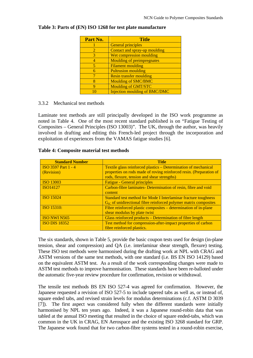| Part No.                    | <b>Title</b>                         |
|-----------------------------|--------------------------------------|
|                             | <b>General principles</b>            |
| $\mathcal{D}_{\mathcal{L}}$ | Contact and spray-up moulding        |
| 3                           | Wet compression moulding             |
| 4                           | <b>Moulding of preimpregnates</b>    |
| 5                           | <b>Filament moulding</b>             |
| 6                           | <b>Pultrusion moulding</b>           |
|                             | <b>Resin transfer moulding</b>       |
| 8                           | <b>Moulding of SMC/BMC</b>           |
| Q                           | <b>Moulding of GMT/STC</b>           |
|                             | <b>Injection moulding of BMC/DMC</b> |

#### **Table 3: Parts of (EN) ISO 1268 for test plate manufacture**

#### 3.3.2 Mechanical test methods

Laminate test methods are still principally developed in the ISO work programme as noted in Table 4. One of the most recent standard published is on "Fatigue Testing of Composites – General Principles (ISO 13003)". The UK, through the author, was heavily involved in drafting and editing this French-led project through the incorporation and exploitation of experiences from the VAMAS fatigue studies [6].

| <b>Standard Number</b>     | <b>Title</b>                                                          |
|----------------------------|-----------------------------------------------------------------------|
| <b>ISO 3597 Part 1 - 4</b> | Textile glass reinforced plastics – Determination of mechanical       |
| (Revision)                 | properties on rods made of roving reinforced resin. (Preparation of   |
|                            | rods, flexure, tension and shear strengths)                           |
| <b>ISO 13003</b>           | <b>Fatigue - General principles</b>                                   |
| ISO14127                   | Carbon-fibre laminates- Determination of resin, fibre and void        |
|                            | content                                                               |
| <b>ISO 15024</b>           | Standard test method for Mode I Interlaminar fracture toughness       |
|                            | $G_{IC}$ of unidirectional fibre reinforced polymer matrix composites |
| <b>ISO 15310:</b>          | Fibre reinforced plastic composites – determination of in-plane       |
|                            | shear modulus by plate twist                                          |
| ISO NWI N565               | Glass reinforced products – Determination of fibre length             |
| <b>ISO DIS 18352</b>       | Test method for compression-after-impact properties of carbon         |
|                            | fibre reinforced plastics.                                            |

#### **Table 4: Composite material test methods**

The six standards, shown in Table 5, provide the basic coupon tests used for design (in-plane tension, shear and compression) and QA (i.e. interlaminar shear strength, flexure) testing. These ISO test methods were harmonised during the drafting work at NPL with CRAG and ASTM versions of the same test methods, with one standard (i.e. BS EN ISO 14129) based on the equivalent ASTM test. As a result of the work corresponding changes were made to ASTM test methods to improve harmonisation. These standards have been re-balloted under the automatic five-year review procedure for confirmation, revision or withdrawal.

The tensile test methods BS EN ISO 527-4 was agreed for confirmation. However, the Japanese requested a revision of ISO 527-5 to include tapered tabs as well as, or instead of, square ended tabs, and revised strain levels for modulus determinations (c.f. ASTM D 3039 [7]). The first aspect was considered fully when the different standards were initially harmonised by NPL ten years ago. Indeed, it was a Japanese round-robin data that was tabled at the annual ISO meeting that resulted in the choice of square ended-tabs, which was common in the UK in CRAG, EN Aerospace and the existing ISO 3268 standard for GRP. The Japanese work found that for two carbon-fibre systems tested in a round-robin exercise,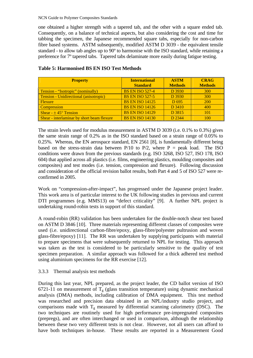one obtained a higher strength with a tapered tab, and the other with a square ended tab. Consequently, on a balance of technical aspects, but also considering the cost and time for tabbing the specimen, the Japanese recommended square tabs, especially for non-carbon fibre based systems. ASTM subsequently, modified ASTM D 3039 - the equivalent tensile standard - to allow tab angles up to 90º to harmonise with the ISO standard, while retaining a preference for 7º tapered tabs. Tapered tabs delaminate more easily during fatigue testing.

| <b>Property</b>                               | <b>International</b>   | <b>ASTM</b>      | <b>CRAG</b>    |
|-----------------------------------------------|------------------------|------------------|----------------|
|                                               | <b>Standard</b>        | <b>Methods</b>   | <b>Methods</b> |
| <b>Tension - "Isotropic" (nominally)</b>      | <b>BS EN ISO 527-4</b> | D 3930           | 300            |
| <b>Tension - Unidirectional (anisotropic)</b> | <b>BS EN ISO 527-5</b> | D 3930           | 300            |
| <b>Flexure</b>                                | <b>BS EN ISO 14125</b> | D <sub>695</sub> | <b>200</b>     |
| <b>Compression</b>                            | <b>BS EN ISO 14126</b> | D 3410           | 400            |
| Shear - $\pm$ 45 $\degree$ Tension            | <b>BS EN ISO 14129</b> | D 3815           | 101            |
| Shear - interlaminar by short beam flexure    | <b>BS EN ISO 14130</b> | D 2344           | 100            |

#### **Table 5: Harmonised BS EN ISO Test Methods**

The strain levels used for modulus measurement in ASTM D 3039 (i.e. 0.1% to 0.3%) gives the same strain range of 0.2% as in the ISO standard based on a strain range of 0.05% to 0.25%. Whereas, the EN aerospace standard, EN 2561 [8], is fundamentally different being based on the stress-strain data between  $P/10$  to  $P/2$ , where  $P =$  peak load. The ISO conditions were drawn from the previous standards (e.g. ISO 3268, ISO 527, ISO 178, ISO 604) that applied across all plastics (i.e. films, engineering plastics, moulding composites and composites) and test modes (i.e. tension, compression and flexure). Following discussion and consideration of the official revision ballot results, both Part 4 and 5 of ISO 527 were reconfirmed in 2005.

Work on "compression-after-impact", has progressed under the Japanese project leader. This work area is of particular interest to the UK following studies in previous and current DTI programmes (e.g. MMS13) on "defect criticality" [9]. A further NPL project is undertaking round-robin tests in support of this standard.

A round-robin (RR) validation has been undertaken for the double-notch shear test based on ASTM D 3846 [10]. Three materials representing different classes of composites were used (i.e. unidirectional carbon-fibre/epoxy, glass-fibre/polyester pultrusion and woven glass-fibre/epoxy) [11]. The RR was undertaken by supplying participants with material to prepare specimens that were subsequently returned to NPL for testing. This approach was taken as the test is considered to be particularly sensitive to the quality of test specimen preparation. A similar approach was followed for a thick adhered test method using aluminium specimens for the RR exercise [12].

#### 3.3.3 Thermal analysis test methods

During this last year, NPL prepared, as the project leader, the CD ballot version of ISO 6721-11 on measurement of  $T_g$  (glass transition temperature) using dynamic mechanical analysis (DMA) methods, including calibration of DMA equipment. This test method was researched and precision data obtained in an NPL/industry studio project, and comparisons made with  $T_g$  measured by differential scanning calorimetry (DSC). The two techniques are routinely used for high performance pre-impregnated composites (prepregs), and are often interchanged or used in comparison, although the relationship between these two very different tests is not clear. However, not all users can afford to have both techniques in-house. These results are reported in a Measurement Good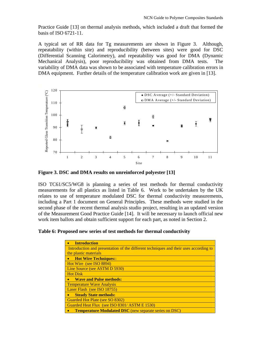Practice Guide [13] on thermal analysis methods, which included a draft that formed the basis of ISO 6721-11.

A typical set of RR data for Tg measurements are shown in Figure 3. Although, repeatability (within site) and reproducibility (between sites) were good for DSC (Differential Scanning Calorimetry), and repeatability was good for DMA (Dynamic Mechanical Analysis), poor reproducibility was obtained from DMA tests. The variability of DMA data was shown to be associated with temperature calibration errors in DMA equipment. Further details of the temperature calibration work are given in [13].



**Figure 3. DSC and DMA results on unreinforced polyester [13]** 

ISO TC61/SC5/WG8 is planning a series of test methods for thermal conductivity measurements for all plastics as listed in Table 6. Work to be undertaken by the UK relates to use of temperature modulated DSC for thermal conductivity measurements, including a Part 1 document on General Principles. These methods were studied in the second phase of the recent thermal analysis studio project, resulting in an updated version of the Measurement Good Practice Guide [14]. It will be necessary to launch official new work item ballots and obtain sufficient support for each part, as noted in Section 2.

**Table 6: Proposed new series of test methods for thermal conductivity** 

| <b>Introduction</b>                                                                   |
|---------------------------------------------------------------------------------------|
| Introduction and presentation of the different techniques and their uses according to |
| the plastic materials                                                                 |
| <b>Hot Wire Techniques::</b>                                                          |
| Hot Wire (see ISO 8894)                                                               |
| Line Source (see ASTM D 5930)                                                         |
| <b>Hot Disk</b>                                                                       |
| <b>Wave and Pulse methods:</b><br>$\bullet$                                           |
| <b>Temperature Wave Analysis</b>                                                      |
| Laser Flash (see ISO 18755)                                                           |
| <b>Steady State methods:</b>                                                          |
| Guarded Hot Plate (see SO 8302)                                                       |
| Guarded Heat Flux (see ISO 8301/ ASTM E 1530)                                         |
| <b>Temperature Modulated DSC</b> (new separate series on DSC)                         |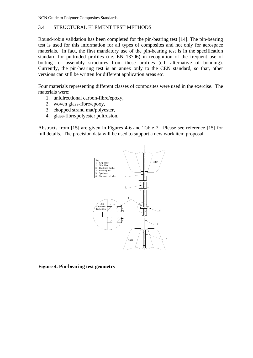#### 3.4 STRUCTURAL ELEMENT TEST METHODS

Round-robin validation has been completed for the pin-bearing test [14]. The pin-bearing test is used for this information for all types of composites and not only for aerospace materials. In fact, the first mandatory use of the pin-bearing test is in the specification standard for pultruded profiles (i.e. EN 13706) in recognition of the frequent use of bolting for assembly structures from these profiles (c.f. alternative of bonding). Currently, the pin-bearing test is an annex only to the CEN standard, so that, other versions can still be written for different application areas etc.

Four materials representing different classes of composites were used in the exercise. The materials were:

- 1. unidirectional carbon-fibre/epoxy,
- 2. woven glass-fibre/epoxy,
- 3. chopped strand mat/polyester,
- 4. glass-fibre/polyester pultrusion.

Abstracts from [15] are given in Figures 4-6 and Table 7. Please see reference [15] for full details. The precision data will be used to support a new work item proposal.



**Figure 4. Pin-bearing test geometry**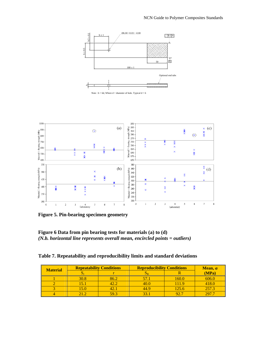

Note :  $b = 6d$ , Where  $d =$  diameter of hole. Typical  $d = 6$ 



**Figure 5. Pin-bearing specimen geometry** 

**Figure 6 Data from pin bearing tests for materials (a) to (d)**  *(N.b. horizontal line represents overall mean, encircled points = outliers)* 

| Table 7. Repeatability and reproducibility limits and standard deviations |  |  |
|---------------------------------------------------------------------------|--|--|
|                                                                           |  |  |

| <b>Material</b> | <b>Repeatability Conditions</b> |      | <b>Reproducibility Conditions</b> |       | Mean, $\sigma$ |  |
|-----------------|---------------------------------|------|-----------------------------------|-------|----------------|--|
|                 |                                 |      |                                   |       | (MPa)          |  |
|                 | 30.8                            | 86.2 |                                   | 160.0 | 606.0          |  |
|                 | I5.                             | 42.2 | 40.0                              | 111.9 | 418.0          |  |
|                 | 15.0                            |      | 44.9                              | 125.6 | 257.3          |  |
|                 |                                 | 59.3 |                                   | 92.7  | 297.7          |  |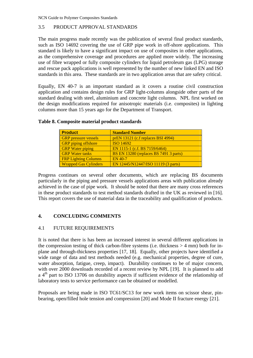#### 3.5 PRODUCT APPROVAL STANDARDS

The main progress made recently was the publication of several final product standards, such as ISO 14692 covering the use of GRP pipe work in off-shore applications. This standard is likely to have a significant impact on use of composites in other applications, as the comprehensive coverage and procedures are applied more widely. The increasing use of fibre wrapped or fully composite cylinders for liquid petroleum gas (LPG) storage and rescue pack applications is well represented by the number of new linked EN and ISO standards in this area. These standards are in two application areas that are safety critical.

Equally, EN 40-7 is an important standard as it covers a routine civil construction application and contains design rules for GRP light-columns alongside other parts of the standard dealing with steel, aluminium and concrete light columns. NPL first worked on the design modifications required for anisotropic materials (i.e. composites) in lighting columns more than 15 years ago for the Department of Transport.

| <b>Product</b>               | <b>Standard Number</b>                 |
|------------------------------|----------------------------------------|
| <b>GRP</b> pressure vessels  | prEN 13121 (c.f replaces BSI 4994)     |
| <b>GRP</b> piping offshore   | ISO 14692                              |
| <b>GRP</b> Water piping      | EN 1115-1 (c.f. BS 7159/6464)          |
| <b>GRP</b> Water tanks       | BS EN 13280 (replaces BS 7491 3 parts) |
| <b>FRP Lighting Columns</b>  | EN 40-7                                |
| <b>Wrapped Gas Cylinders</b> | EN 12445/N12447/ISO 11119 (3 parts)    |

#### **Table 8. Composite material product standards**

Progress continues on several other documents, which are replacing BS documents particularly in the piping and pressure vessels applications areas with publication already achieved in the case of pipe work. It should be noted that there are many cross references in these product standards to test method standards drafted in the UK as reviewed in [16]. This report covers the use of material data in the traceability and qualification of products.

#### **4. CONCLUDING COMMENTS**

#### 4.1 FUTURE REQUIREMENTS

It is noted that there is has been an increased interest in several different applications in the compression testing of thick carbon-fibre systems (i.e. thickness  $> 4$  mm) both for inplane and through-thickness properties [17, 18]. Equally, other projects have identified a wide range of data and test methods needed (e.g. mechanical properties, degree of cure, water absorption, fatigue, creep, impact). Durability continues to be of major concern, with over 2000 downloads recorded of a recent review by NPL [19]. It is planned to add a  $4<sup>th</sup>$  part to ISO 13706 on durability aspects if sufficient evidence of the relationship of laboratory tests to service performance can be obtained or modelled.

Proposals are being made in ISO TC61/SC13 for new work items on scissor shear, pinbearing, open/filled hole tension and compression [20] and Mode II fracture energy [21].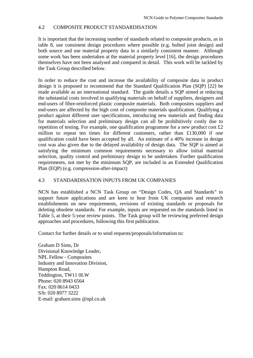#### 4.2 COMPOSITE PRODUCT STANDARDISATION

It is important that the increasing number of standards related to composite products, as in table 8, use consistent design procedures where possible (e.g. bolted joint design) and both source and use material property data in a similarly consistent manner. Although some work has been undertaken at the material property level [16], the design procedures themselves have not been analysed and compared in detail. This work will be tackled by the Task Group described below.

In order to reduce the cost and increase the availability of composite data in product design it is proposed to recommend that the Standard Qualification Plan (SQP) [22] be made available as an international standard. The guide details a SQP aimed at reducing the substantial costs involved in qualifying materials on behalf of suppliers, designers and end-users of fibre-reinforced plastic composite materials. Both composites suppliers and end-users are affected by the high cost of composite materials qualification. Qualifying a product against different user specifications, introducing new materials and finding data for materials selection and preliminary design can all be prohibitively costly due to repetition of testing. For example, one qualification programme for a new product cost £2 million to repeat ten times for different customers, rather than £130,000 if one qualification could have been accepted by all. An estimate of a 40% increase in design cost was also given due to the delayed availability of design data. The SQP is aimed at satisfying the minimum common requirements necessary to allow initial material selection, quality control and preliminary design to be undertaken. Further qualification requirements, not met by the minimum SQP, are included in an Extended Qualification Plan (EQP) (e.g. compression-after-impact)

#### 4.3 STANDARDISATION INPUTS FROM UK COMPANIES

NCN has established a NCN Task Group on "Design Codes, QA and Standards" to support future applications and are keen to hear from UK companies and research establishments on new requirements, revisions of existing standards or proposals for deleting obsolete standards. For example, inputs are requested on the standards listed in Table 5, at their 5-year review points. The Task group will be reviewing preferred design approaches and procedures, following this first publication.

Contact for further details or to send requests/proposals/information to:

Graham D Sims, Dr Divisional Knowledge Leader, NPL Fellow - Composites Industry and Innovation Division, Hampton Road, Teddington, TW11 0LW Phone: 020 8943 6564 Fax: 020 8614 0433 S/b: 020 8977 3222 E-mail: graham.sims @npl.co.uk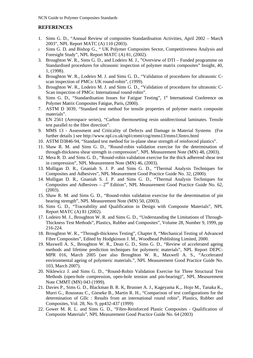#### **REFERENCES**

- 1. Sims G. D., "Annual Review of composites Standardisation Activities, April 2002 March 2003", NPL Report MATC (A) 110 (2003).
- 2. Sims G. D. and Bishop G., " UK Polymer Composites Sector, Competitiveness Analysis and Foresight Study", NPL Report MATC (A) 81, (2002).
- 3. Broughton W. R., Sims G. D., and Lodeiro M. J., "Overview of DTI Funded programme on Standardised procedures for ultrasonic inspection of polymer matrix composites" Insight, 40, 1, (1998).
- 4. Broughton W. R., Lodeiro M. J. and Sims G. D., "Validation of procedures for ultrasonic Cscan inspection of PMCs: UK round-robin", (1999).
- 5. Broughton W. R., Lodeiro M. J. and Sims G. D., "Validation of procedures for ultrasonic C-Scan inspection of PMCs: International round-robin".
- 6. Sims G. D., "Standardisation Issues for Fatigue Testing", 1<sup>st</sup> International Conference on Polymer Matrix Composites Fatigue, Paris, (2000).
- 7. ASTM D 3039, "Standard test method for tensile properties of polymer matrix composite materials".
- 8. EN 2561 (Aerospace series), "Carbon thermosetting resin unidirectional laminates. Tensile test parallel to the fibre direction".
- 9. MMS 13 Assessment and Criticality of Defects and Damage in Material Systems (For further details ) see http://www.npl.co.uk/npl/cmmt/cog/mms13/mms13intro.html
- 10. ASTM D3846-94, "Standard test method for in-plane shear strength of reinforced plastics".
- 11. Shaw R. M. and Sims G. D., "Round-robin validation exercise for the determination of through-thickness shear strength in compression", NPL Measurement Note (MN) 48, (2003).
- 12. Mera R. D. and Sims G. D., "Round-robin validation exercise for the thick adherend shear test in compression", NPL Measurement Note (MN) 46, (2003).
- 13. Mulligan D. R., Gnaniah S. J. P. and Sims G. D., "Thermal Analysis Techniques for Composites and Adhesives", NPL Measurement Good Practice Guide No. 32, (2000).
- 14. Mulligan D. R., Gnaniah S. J. P. and Sims G. D., "Thermal Analysis Techniques for Composites and Adhesives –  $2<sup>nd</sup>$  Edition", NPL Measurement Good Practice Guide No. 62, (2003).
- 15. Shaw R. M. and Sims G. D., "Round-robin validation exercise for the determination of pin bearing strength", NPL Measurement Note (MN) 50, (2003).
- 16. Sims G. D., "Traceability and Qualification in Design with Composite Materials", NPL Report MATC (A) 81 (2002).
- 17. Lodeiro M. J., Broughton W. R. and Sims G. D., "Understanding the Limitations of Through-Thickness Test Methods", Plastics, Rubber and Composites", Volume 28, Number 9, 1999, pp 216-224.
- 18. Broughton W. R., "Through-thickness Testing", Chapter 8, "Mechanical Testing of Advanced Fibre Composites", Edited by Hodgkinson J. M., Woodhead Publishing Limited, 2000.
- 19. Maxwell A. S., Broughton W. R., Dean G. D., Sims G. D., ["Review of accelerated ageing](http://publications.npl.co.uk/dbtw-wpd/exec/dbtwpub.dll?AC=GET_RECORD&XC=/dbtw-wpd/exec/dbtwpub.dll&BU=http%3A%2F%2Flibsvr1.npl.co.uk%2Fnpl_web%2Fsearch.htm&TN=NPLPUBS&SN=AUTO16215&SE=34&RN=9&MR=20&TR=0&TX=1000&ES=0&CS=1&XP=&RF=Search+Results&E)  [methods and lifetime prediction techniques for polymeric materials",](http://publications.npl.co.uk/dbtw-wpd/exec/dbtwpub.dll?AC=GET_RECORD&XC=/dbtw-wpd/exec/dbtwpub.dll&BU=http%3A%2F%2Flibsvr1.npl.co.uk%2Fnpl_web%2Fsearch.htm&TN=NPLPUBS&SN=AUTO16215&SE=34&RN=9&MR=20&TR=0&TX=1000&ES=0&CS=1&XP=&RF=Search+Results&E) NPL Report DEPC-MPR 016, March 2005 (see also Broughton W. R., Maxwell A. S., ["Accelerated](http://publications.npl.co.uk/dbtw-wpd/exec/dbtwpub.dll?AC=GET_RECORD&XC=/dbtw-wpd/exec/dbtwpub.dll&BU=http%3A%2F%2Flibsvr1.npl.co.uk%2Fnpl_web%2Fsearch.htm&TN=NPLPUBS&SN=AUTO16215&SE=34&RN=1&MR=20&TR=0&TX=1000&ES=0&CS=1&XP=&RF=Search+Results&E)  [environmental ageing of polymeric materials."](http://publications.npl.co.uk/dbtw-wpd/exec/dbtwpub.dll?AC=GET_RECORD&XC=/dbtw-wpd/exec/dbtwpub.dll&BU=http%3A%2F%2Flibsvr1.npl.co.uk%2Fnpl_web%2Fsearch.htm&TN=NPLPUBS&SN=AUTO16215&SE=34&RN=1&MR=20&TR=0&TX=1000&ES=0&CS=1&XP=&RF=Search+Results&E), NPL Measurement Good Practice Guide No. 103, March 2007).
- 20. Niklewicz J. and Sims G. D., "Round-Robin Validation Exercise for Three Structural Test Methods (open-hole compression, open-hole tension and pin-bearing)", NPL Measurement Note CMMT (MN) 043 (1999).
- 21. Davies P., Sims G. D., Blackman B. R. K, Brunner A. J., Kageyama K.,. Hojo M., Tanaka K., Murri G., Rousseau C., Gieseke B., Martin R. H., "Comparison of test configurations for the determination of GIIc : Results from an international round robin", Plastics, Rubber and Composites, Vol. 28, No. 9, pp432-437 (1999)
- 22. Gower M. R. L. and Sims G. D., "Fibre-Reinforced Plastic Composites Qualification of Composite Materials", NPL Measurement Good Practice Guide No. 64 (2003)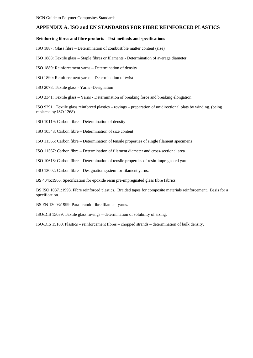#### **APPENDIX A. ISO and EN STANDARDS FOR FIBRE REINFORCED PLASTICS**

#### **Reinforcing fibres and fibre products - Test methods and specifications**

ISO 1887: Glass fibre – Determination of combustible matter content (size)

- ISO 1888: Textile glass Staple fibres or filaments Determination of average diameter
- ISO 1889: Reinforcement yarns Determination of density
- ISO 1890: Reinforcement yarns Determination of twist
- ISO 2078: Textile glass Yarns -Designation

ISO 3341: Textile glass – Yarns - Determination of breaking force and breaking elongation

ISO 9291. Textile glass reinforced plastics – rovings – preparation of unidirectional plats by winding. (being replaced by ISO 1268)

ISO 10119: Carbon fibre – Determination of density

ISO 10548: Carbon fibre – Determination of size content

ISO 11566: Carbon fibre – Determination of tensile properties of single filament specimens

ISO 11567: Carbon fibre – Determination of filament diameter and cross-sectional area

ISO 10618: Carbon fibre – Determination of tensile properties of resin-impregnated yarn

ISO 13002: Carbon fibre – Designation system for filament yarns.

BS 4045:1966. Specification for epoxide resin pre-impregnated glass fibre fabrics.

BS ISO 10371:1993. Fibre reinforced plastics. Braided tapes for composite materials reinforcement. Basis for a specification.

BS EN 13003:1999. Para-aramid fibre filament yarns.

ISO/DIS 15039. Textile glass rovings – determination of solubility of sizing.

ISO/DIS 15100. Plastics – reinforcement fibres – chopped strands – determination of bulk density.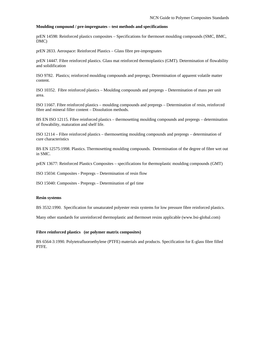#### **Moulding compound / pre-impregnates – test methods and specifications**

prEN 14598: Reinforced plastics composites – Specifications for thermoset moulding compounds (SMC, BMC, DMC)

prEN 2833. Aerospace: Reinforced Plastics – Glass fibre pre-impregnates

prEN 14447. Fibre reinforced plastics. Glass mat reinforced thermoplastics (GMT). Determination of flowability and solidification

ISO 9782. Plastics; reinforced moulding compounds and prepregs; Determination of apparent volatile matter content.

ISO 10352. Fibre reinforced plastics – Moulding compounds and prepregs – Determination of mass per unit area.

ISO 11667. Fibre reinforced plastics – moulding compounds and prepregs – Determination of resin, reinforced fibre and mineral filler content – Dissolution methods.

BS EN ISO 12115. Fibre reinforced plastics – thermosetting moulding compounds and prepregs – determination of flowability, maturation and shelf life.

ISO 12114 – Fibre reinforced plastics – thermosetting moulding compounds and prepregs – determination of cure characteristics

BS EN 12575:1998. Plastics. Thermosetting moulding compounds. Determination of the degree of fibre wet out in SMC.

prEN 13677: Reinforced Plastics Composites – specifications for thermoplastic moulding compounds (GMT)

ISO 15034: Composites - Prepregs – Determination of resin flow

ISO 15040: Composites - Prepregs – Determination of gel time

#### **Resin systems**

BS 3532:1990. Specification for unsaturated polyester resin systems for low pressure fibre reinforced plastics.

Many other standards for unreinforced thermoplastic and thermoset resins applicable (www.bsi-global.com)

#### **Fibre reinforced plastics (or polymer matrix composites)**

BS 6564-3:1990. Polytetrafluoroethylene (PTFE) materials and products. Specification for E-glass fibre filled PTFE.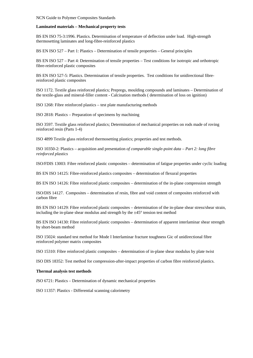#### **Laminated materials – Mechanical property tests**

BS EN ISO 75-3:1996. Plastics. Determination of temperature of deflection under load. High-strength thermosetting laminates and long-fibre-reinforced plastics

BS EN ISO 527 – Part 1: Plastics – Determination of tensile properties – General principles

BS EN ISO 527 – Part 4: Determination of tensile properties – Test conditions for isotropic and orthotropic fibre-reinforced plastic composites

BS EN ISO 527-5: Plastics. Determination of tensile properties. Test conditions for unidirectional fibrereinforced plastic composites

ISO 1172. Textile glass reinforced plastics; Prepregs, moulding compounds and laminates – Determination of the textile-glass and mineral-filler content - Calcination methods ( determination of loss on ignition)

ISO 1268: Fibre reinforced plastics – test plate manufacturing methods

ISO 2818: Plastics – Preparation of specimens by machining

ISO 3597. Textile glass reinforced plastics; Determination of mechanical properties on rods made of roving reinforced resin (Parts 1-4)

ISO 4899 Textile glass reinforced thermosetting plastics; properties and test methods.

ISO 10350-2: Plastics – acquisition and presentation *of comparable single-point data – Part 2: long fibre reinforced plastics* 

ISO/FDIS 13003: Fibre reinforced plastic composites – determination of fatigue properties under cyclic loading

BS EN ISO 14125: Fibre-reinforced plastics composites – determination of flexural properties

BS EN ISO 14126: Fibre reinforced plastic composites – determination of the in-plane compression strength

ISO/DIS 14127. Composites – determination of resin, fibre and void content of composites reinforced with carbon fibre

BS EN ISO 14129: Fibre reinforced plastic composites – determination of the in-plane shear stress/shear strain, including the in-plane shear modulus and strength by the  $\pm 45^{\circ}$  tension test method

BS EN ISO 14130: Fibre reinforced plastic composites – determination of apparent interlaminar shear strength by short-beam method

ISO 15024: standard test method for Mode I Interlaminar fracture toughness Gic of unidirectional fibre reinforced polymer matrix composites

ISO 15310: Fibre reinforced plastic composites – determination of in-plane shear modulus by plate twist

ISO DIS 18352: Test method for compression-after-impact properties of carbon fibre reinforced plastics.

#### **Thermal analysis test methods**

*I*SO 6721: Plastics – Determination of dynamic mechanical properties

ISO 11357: Plastics - Differential scanning calorimetry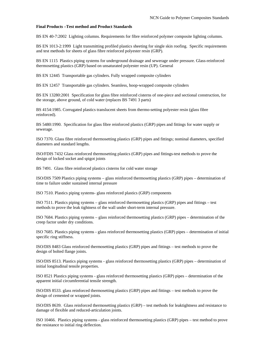#### **Final Products –Test method and Product Standards**

BS EN 40-7:2002 Lighting columns. Requirements for fibre reinforced polymer composite lighting columns.

BS EN 1013-2:1999 Light transmitting profiled plastics sheeting for single skin roofing. Specific requirements and test methods for sheets of glass fibre reinforced polyester resin (GRP).

BS EN 1115 Plastics piping systems for underground drainage and sewerage under pressure. Glass-reinforced thermosetting plastics (GRP) based on unsaturated polyester resin (UP). General

BS EN 12445 Transportable gas cylinders. Fully wrapped composite cylinders

BS EN 12457 Transportable gas cylinders. Seamless, hoop-wrapped composite cylinders

BS EN 13280:2001 Specification for glass fibre reinforced cisterns of one-piece and sectional construction, for the storage, above ground, of cold water (replaces BS 7491 3 parts)

BS 4154:1985. Corrugated plastics translucent sheets from thermo-setting polyester resin (glass fibre reinforced).

BS 5480:1990. Specification for glass fibre reinforced plastics (GRP) pipes and fittings for water supply or sewerage.

ISO 7370. Glass fibre reinforced thermosetting plastics (GRP) pipes and fittings; nominal diameters, specified diameters and standard lengths.

ISO/FDIS 7432 Glass reinforced thermosetting plastics (GRP) pipes and fittings-test methods to prove the design of locked socket and spigot joints

BS 7491. Glass fibre reinforced plastics cisterns for cold water storage

ISO/DIS 7509 Plastics piping systems – glass reinforced thermosetting plastics (GRP) pipes – determination of time to failure under sustained internal pressure

ISO 7510. Plastics piping systems- glass reinforced plastics (GRP) components

ISO 7511. Plastics piping systems – glass reinforced thermosetting plastics (GRP) pipes and fittings – test methods to prove the leak tightness of the wall under short-term internal pressure.

ISO 7684. Plastics piping systems – glass reinforced thermosetting plastics (GRP) pipes – determination of the creep factor under dry conditions.

ISO 7685. Plastics piping systems - glass reinforced thermosetting plastics (GRP) pipes – determination of initial specific ring stiffness.

ISO/DIS 8483 Glass reinforced thermosetting plastics (GRP) pipes and fittings – test methods to prove the design of bolted flange joints.

ISO/DIS 8513. Plastics piping systems - glass reinforced thermosetting plastics (GRP) pipes – determination of initial longitudinal tensile properties.

ISO 8521 Plastics piping systems - glass reinforced thermosetting plastics (GRP) pipes – determination of the apparent initial circumferential tensile strength.

ISO/DIS 8533. glass reinforced thermosetting plastics (GRP) pipes and fittings – test methods to prove the design of cemented or wrapped joints.

ISO/DIS 8639. Glass reinforced thermosetting plastics (GRP) – test methods for leaktightness and resistance to damage of flexible and reduced-articulation joints.

ISO 10466. Plastics piping systems - glass reinforced thermosetting plastics (GRP) pipes – test method to prove the resistance to initial ring deflection.